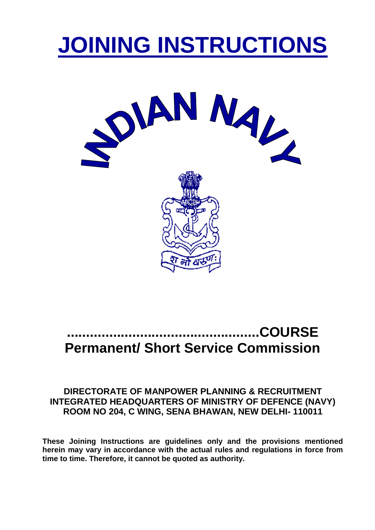# **JOINING INSTRUCTIONS**



# **..................................................COURSE Permanent/ Short Service Commission**

# **DIRECTORATE OF MANPOWER PLANNING & RECRUITMENT INTEGRATED HEADQUARTERS OF MINISTRY OF DEFENCE (NAVY) ROOM NO 204, C WING, SENA BHAWAN, NEW DELHI- 110011**

**These Joining Instructions are guidelines only and the provisions mentioned herein may vary in accordance with the actual rules and regulations in force from time to time. Therefore, it cannot be quoted as authority.**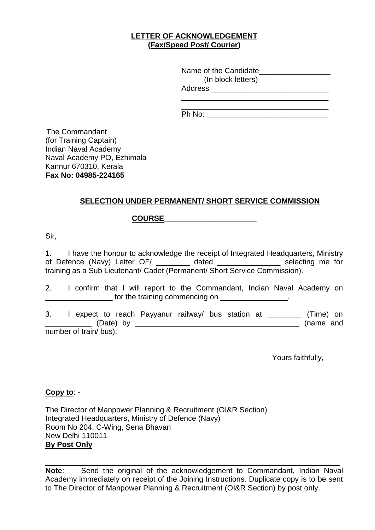#### **LETTER OF ACKNOWLEDGEMENT (Fax/Speed Post/ Courier)**

| Name of the Candidate |  |
|-----------------------|--|
| (In block letters)    |  |
| <b>Address</b>        |  |
|                       |  |

Ph No:

The Commandant (for Training Captain) Indian Naval Academy Naval Academy PO, Ezhimala Kannur 670310, Kerala **Fax No: 04985-224165** 

# **SELECTION UNDER PERMANENT/ SHORT SERVICE COMMISSION**

# **COURSE\_\_\_\_\_\_\_\_\_\_\_\_\_\_\_\_\_\_\_\_\_\_**

Sir,

1. I have the honour to acknowledge the receipt of Integrated Headquarters, Ministry of Defence (Navy) Letter OF/ \_\_\_\_\_\_\_\_ dated \_\_\_\_\_\_\_\_\_\_\_\_\_\_\_ selecting me for training as a Sub Lieutenant/ Cadet (Permanent/ Short Service Commission).

2. I confirm that I will report to the Commandant, Indian Naval Academy on The training commencing on **EXECUTE:** 

3. I expect to reach Payyanur railway/ bus station at \_\_\_\_\_\_\_\_ (Time) on \_\_\_\_\_\_\_\_\_\_\_ (Date) by \_\_\_\_\_\_\_\_\_\_\_\_\_\_\_\_\_\_\_\_\_\_\_\_\_\_\_\_\_\_\_\_\_\_\_\_\_\_\_ (name and number of train/ bus).

Yours faithfully,

#### **Copy to**: -

The Director of Manpower Planning & Recruitment (OI&R Section) Integrated Headquarters, Ministry of Defence (Navy) Room No 204, C-Wing, Sena Bhavan New Delhi 110011 **By Post Only**

**\_\_\_\_\_\_\_\_\_\_\_\_\_\_\_\_\_\_\_\_\_\_\_\_\_\_\_\_\_\_\_\_\_\_\_\_\_\_\_\_\_\_\_\_\_\_\_\_\_\_\_\_\_\_\_\_\_\_\_\_\_\_\_\_\_\_\_\_\_\_ Note**: Send the original of the acknowledgement to Commandant, Indian Naval Academy immediately on receipt of the Joining Instructions. Duplicate copy is to be sent to The Director of Manpower Planning & Recruitment (OI&R Section) by post only.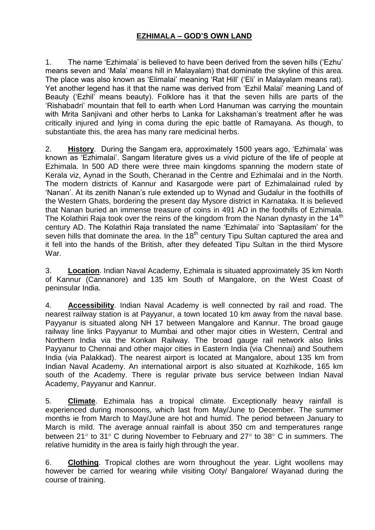# **EZHIMALA – GOD'S OWN LAND**

1. The name 'Ezhimala' is believed to have been derived from the seven hills ('Ezhu' means seven and 'Mala' means hill in Malayalam) that dominate the skyline of this area. The place was also known as 'Elimalai' meaning 'Rat Hill' ('Eli' in Malayalam means rat). Yet another legend has it that the name was derived from 'Ezhil Malai' meaning Land of Beauty ('Ezhil' means beauty). Folklore has it that the seven hills are parts of the 'Rishabadri' mountain that fell to earth when Lord Hanuman was carrying the mountain with Mrita Saniivani and other herbs to Lanka for Lakshaman's treatment after he was critically injured and lying in coma during the epic battle of Ramayana. As though, to substantiate this, the area has many rare medicinal herbs.

2. **History**. During the Sangam era, approximately 1500 years ago, 'Ezhimala' was known as 'Ezhimalai'. Sangam literature gives us a vivid picture of the life of people at Ezhimala. In 500 AD there were three main kingdoms spanning the modern state of Kerala viz, Aynad in the South, Cheranad in the Centre and Ezhimalai and in the North. The modern districts of Kannur and Kasargode were part of Ezhimalainad ruled by 'Nanan'. At its zenith Nanan's rule extended up to Wynad and Gudalur in the foothills of the Western Ghats, bordering the present day Mysore district in Karnataka. It is believed that Nanan buried an immense treasure of coins in 491 AD in the foothills of Ezhimala. The Kolathiri Raja took over the reins of the kingdom from the Nanan dynasty in the  $14<sup>th</sup>$ century AD. The Kolathiri Raja translated the name 'Ezhimalai' into 'Saptasilam' for the seven hills that dominate the area. In the  $18<sup>th</sup>$  century Tipu Sultan captured the area and it fell into the hands of the British, after they defeated Tipu Sultan in the third Mysore War.

3. **Location**. Indian Naval Academy, Ezhimala is situated approximately 35 km North of Kannur (Cannanore) and 135 km South of Mangalore, on the West Coast of peninsular India.

4. **Accessibility**. Indian Naval Academy is well connected by rail and road. The nearest railway station is at Payyanur, a town located 10 km away from the naval base. Payyanur is situated along NH 17 between Mangalore and Kannur. The broad gauge railway line links Payyanur to Mumbai and other major cities in Western, Central and Northern India via the Konkan Railway. The broad gauge rail network also links Payyanur to Chennai and other major cities in Eastern India (via Chennai) and Southern India (via Palakkad). The nearest airport is located at Mangalore, about 135 km from Indian Naval Academy. An international airport is also situated at Kozhikode, 165 km south of the Academy. There is regular private bus service between Indian Naval Academy, Payyanur and Kannur.

5. **Climate**. Ezhimala has a tropical climate. Exceptionally heavy rainfall is experienced during monsoons, which last from May/June to December. The summer months ie from March to May/June are hot and humid. The period between January to March is mild. The average annual rainfall is about 350 cm and temperatures range between 21 $\degree$  to 31 $\degree$  C during November to February and 27 $\degree$  to 38 $\degree$  C in summers. The relative humidity in the area is fairly high through the year.

6. **Clothing**. Tropical clothes are worn throughout the year. Light woollens may however be carried for wearing while visiting Ooty/ Bangalore/ Wayanad during the course of training.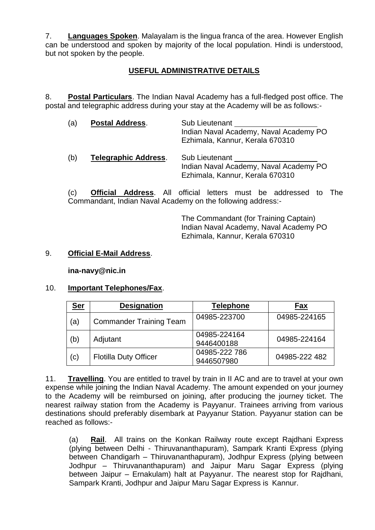7. **Languages Spoken**. Malayalam is the lingua franca of the area. However English can be understood and spoken by majority of the local population. Hindi is understood, but not spoken by the people.

# **USEFUL ADMINISTRATIVE DETAILS**

8. **Postal Particulars**. The Indian Naval Academy has a full-fledged post office. The postal and telegraphic address during your stay at the Academy will be as follows:-

| (a) | <b>Postal Address.</b>      | Sub Lieutenant<br>Indian Naval Academy, Naval Academy PO<br>Ezhimala, Kannur, Kerala 670310 |
|-----|-----------------------------|---------------------------------------------------------------------------------------------|
| (b) | <b>Telegraphic Address.</b> | Sub Lieutenant<br>Indian Naval Academy, Naval Academy PO<br>Ezhimala, Kannur, Kerala 670310 |

(c) **Official Address**. All official letters must be addressed to The Commandant, Indian Naval Academy on the following address:-

> The Commandant (for Training Captain) Indian Naval Academy, Naval Academy PO Ezhimala, Kannur, Kerala 670310

#### 9. **Official E-Mail Address**.

**ina-navy@nic.in**

#### 10. **Important Telephones/Fax**.

| <u>Ser</u> | <b>Designation</b>             | Telephone                   | Fax           |
|------------|--------------------------------|-----------------------------|---------------|
| (a)        | <b>Commander Training Team</b> | 04985-223700                | 04985-224165  |
| (b)        | Adjutant                       | 04985-224164<br>9446400188  | 04985-224164  |
| (c)        | <b>Flotilla Duty Officer</b>   | 04985-222 786<br>9446507980 | 04985-222 482 |

11. **Travelling**. You are entitled to travel by train in II AC and are to travel at your own expense while joining the Indian Naval Academy. The amount expended on your journey to the Academy will be reimbursed on joining, after producing the journey ticket. The nearest railway station from the Academy is Payyanur. Trainees arriving from various destinations should preferably disembark at Payyanur Station. Payyanur station can be reached as follows:-

(a) **Rail**. All trains on the Konkan Railway route except Rajdhani Express (plying between Delhi - Thiruvananthapuram), Sampark Kranti Express (plying between Chandigarh – Thiruvananthapuram), Jodhpur Express (plying between Jodhpur – Thiruvananthapuram) and Jaipur Maru Sagar Express (plying between Jaipur – Ernakulam) halt at Payyanur. The nearest stop for Rajdhani, Sampark Kranti, Jodhpur and Jaipur Maru Sagar Express is Kannur.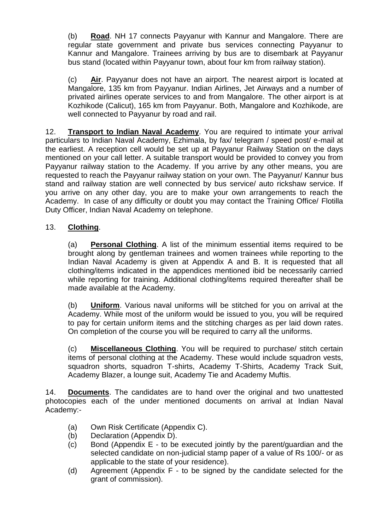(b) **Road**. NH 17 connects Payyanur with Kannur and Mangalore. There are regular state government and private bus services connecting Payyanur to Kannur and Mangalore. Trainees arriving by bus are to disembark at Payyanur bus stand (located within Payyanur town, about four km from railway station).

(c) **Air**. Payyanur does not have an airport. The nearest airport is located at Mangalore, 135 km from Payyanur. Indian Airlines, Jet Airways and a number of privated airlines operate services to and from Mangalore. The other airport is at Kozhikode (Calicut), 165 km from Payyanur. Both, Mangalore and Kozhikode, are well connected to Payyanur by road and rail.

12. **Transport to Indian Naval Academy**. You are required to intimate your arrival particulars to Indian Naval Academy, Ezhimala, by fax/ telegram / speed post/ e-mail at the earliest. A reception cell would be set up at Payyanur Railway Station on the days mentioned on your call letter. A suitable transport would be provided to convey you from Payyanur railway station to the Academy. If you arrive by any other means, you are requested to reach the Payyanur railway station on your own. The Payyanur/ Kannur bus stand and railway station are well connected by bus service/ auto rickshaw service. If you arrive on any other day, you are to make your own arrangements to reach the Academy.In case of any difficulty or doubt you may contact the Training Office/ Flotilla Duty Officer, Indian Naval Academy on telephone.

# 13. **Clothing**.

(a) **Personal Clothing**. A list of the minimum essential items required to be brought along by gentleman trainees and women trainees while reporting to the Indian Naval Academy is given at Appendix A and B. It is requested that all clothing/items indicated in the appendices mentioned ibid be necessarily carried while reporting for training. Additional clothing/items required thereafter shall be made available at the Academy.

(b) **Uniform**. Various naval uniforms will be stitched for you on arrival at the Academy. While most of the uniform would be issued to you, you will be required to pay for certain uniform items and the stitching charges as per laid down rates. On completion of the course you will be required to carry all the uniforms.

(c) **Miscellaneous Clothing**. You will be required to purchase/ stitch certain items of personal clothing at the Academy. These would include squadron vests, squadron shorts, squadron T-shirts, Academy T-Shirts, Academy Track Suit, Academy Blazer, a lounge suit, Academy Tie and Academy Muftis.

14. **Documents**. The candidates are to hand over the original and two unattested photocopies each of the under mentioned documents on arrival at Indian Naval Academy:-

- (a) Own Risk Certificate (Appendix C).
- (b) Declaration (Appendix D).
- (c) Bond (Appendix E to be executed jointly by the parent/guardian and the selected candidate on non-judicial stamp paper of a value of Rs 100/- or as applicable to the state of your residence).
- (d) Agreement (Appendix F to be signed by the candidate selected for the grant of commission).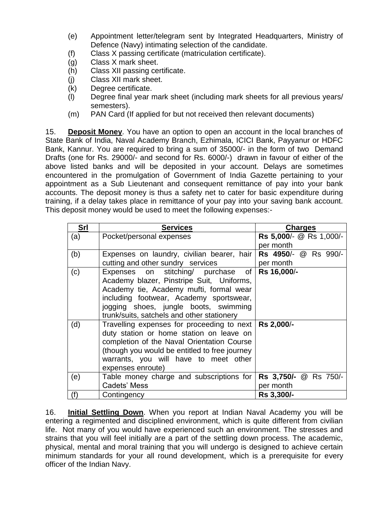- (e) Appointment letter/telegram sent by Integrated Headquarters, Ministry of Defence (Navy) intimating selection of the candidate.
- (f) Class X passing certificate (matriculation certificate).
- (g) Class X mark sheet.
- (h) Class XII passing certificate.
- (j) Class XII mark sheet.
- (k) Degree certificate.
- (l) Degree final year mark sheet (including mark sheets for all previous years/ semesters).
- (m) PAN Card (If applied for but not received then relevant documents)

15. **Deposit Money**. You have an option to open an account in the local branches of State Bank of India, Naval Academy Branch, Ezhimala, ICICI Bank, Payyanur or HDFC Bank, Kannur. You are required to bring a sum of 35000/- in the form of two Demand Drafts (one for Rs. 29000/- and second for Rs. 6000/-) drawn in favour of either of the above listed banks and will be deposited in your account. Delays are sometimes encountered in the promulgation of Government of India Gazette pertaining to your appointment as a Sub Lieutenant and consequent remittance of pay into your bank accounts. The deposit money is thus a safety net to cater for basic expenditure during training, if a delay takes place in remittance of your pay into your saving bank account. This deposit money would be used to meet the following expenses:-

| <b>Srl</b> | <b>Services</b>                                         | <b>Charges</b>          |
|------------|---------------------------------------------------------|-------------------------|
| (a)        | Pocket/personal expenses                                | Rs 5,000/- @ Rs 1,000/- |
|            |                                                         | per month               |
| (b)        | Expenses on laundry, civilian bearer, hair              | Rs 4950/- @ Rs 990/-    |
|            | cutting and other sundry services                       | per month               |
| (c)        | Expenses on stitching/ purchase of Rs 16,000/-          |                         |
|            | Academy blazer, Pinstripe Suit, Uniforms,               |                         |
|            | Academy tie, Academy mufti, formal wear                 |                         |
|            | including footwear, Academy sportswear,                 |                         |
|            | jogging shoes, jungle boots, swimming                   |                         |
|            | trunk/suits, satchels and other stationery              |                         |
| (d)        | Travelling expenses for proceeding to next   Rs 2,000/- |                         |
|            | duty station or home station on leave on                |                         |
|            | completion of the Naval Orientation Course              |                         |
|            | (though you would be entitled to free journey           |                         |
|            | warrants, you will have to meet other                   |                         |
|            | expenses enroute)                                       |                         |
| (e)        | Table money charge and subscriptions for                | Rs 3,750/- @ Rs 750/-   |
|            | Cadets' Mess                                            | per month               |
| (f)        | Contingency                                             | Rs 3,300/-              |

16. **Initial Settling Down**. When you report at Indian Naval Academy you will be entering a regimented and disciplined environment, which is quite different from civilian life. Not many of you would have experienced such an environment. The stresses and strains that you will feel initially are a part of the settling down process. The academic, physical, mental and moral training that you will undergo is designed to achieve certain minimum standards for your all round development, which is a prerequisite for every officer of the Indian Navy.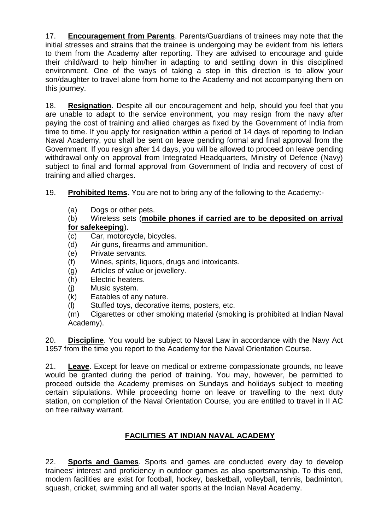17. **Encouragement from Parents**. Parents/Guardians of trainees may note that the initial stresses and strains that the trainee is undergoing may be evident from his letters to them from the Academy after reporting. They are advised to encourage and guide their child/ward to help him/her in adapting to and settling down in this disciplined environment. One of the ways of taking a step in this direction is to allow your son/daughter to travel alone from home to the Academy and not accompanying them on this journey.

18. **Resignation**. Despite all our encouragement and help, should you feel that you are unable to adapt to the service environment, you may resign from the navy after paying the cost of training and allied charges as fixed by the Government of India from time to time. If you apply for resignation within a period of 14 days of reporting to Indian Naval Academy, you shall be sent on leave pending formal and final approval from the Government. If you resign after 14 days, you will be allowed to proceed on leave pending withdrawal only on approval from Integrated Headquarters, Ministry of Defence (Navy) subject to final and formal approval from Government of India and recovery of cost of training and allied charges.

19. **Prohibited Items**. You are not to bring any of the following to the Academy:-

(a) Dogs or other pets.

# (b) Wireless sets (**mobile phones if carried are to be deposited on arrival for safekeeping**).

- (c) Car, motorcycle, bicycles.
- (d) Air guns, firearms and ammunition.
- (e) Private servants.
- (f) Wines, spirits, liquors, drugs and intoxicants.
- (g) Articles of value or jewellery.
- (h) Electric heaters.
- (j) Music system.
- (k) Eatables of any nature.
- (l) Stuffed toys, decorative items, posters, etc.

(m) Cigarettes or other smoking material (smoking is prohibited at Indian Naval Academy).

20. **Discipline**. You would be subject to Naval Law in accordance with the Navy Act 1957 from the time you report to the Academy for the Naval Orientation Course.

21. **Leave**. Except for leave on medical or extreme compassionate grounds, no leave would be granted during the period of training. You may, however, be permitted to proceed outside the Academy premises on Sundays and holidays subject to meeting certain stipulations. While proceeding home on leave or travelling to the next duty station, on completion of the Naval Orientation Course, you are entitled to travel in II AC on free railway warrant.

# **FACILITIES AT INDIAN NAVAL ACADEMY**

22. **Sports and Games**. Sports and games are conducted every day to develop trainees' interest and proficiency in outdoor games as also sportsmanship. To this end, modern facilities are exist for football, hockey, basketball, volleyball, tennis, badminton, squash, cricket, swimming and all water sports at the Indian Naval Academy.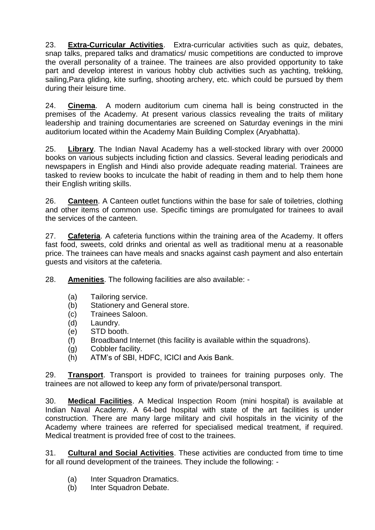23. **Extra-Curricular Activities**. Extra-curricular activities such as quiz, debates, snap talks, prepared talks and dramatics/ music competitions are conducted to improve the overall personality of a trainee. The trainees are also provided opportunity to take part and develop interest in various hobby club activities such as yachting, trekking, sailing,Para gliding, kite surfing, shooting archery, etc. which could be pursued by them during their leisure time.

24. **Cinema**. A modern auditorium cum cinema hall is being constructed in the premises of the Academy. At present various classics revealing the traits of military leadership and training documentaries are screened on Saturday evenings in the mini auditorium located within the Academy Main Building Complex (Aryabhatta).

25. **Library**. The Indian Naval Academy has a well-stocked library with over 20000 books on various subjects including fiction and classics. Several leading periodicals and newspapers in English and Hindi also provide adequate reading material. Trainees are tasked to review books to inculcate the habit of reading in them and to help them hone their English writing skills.

26. **Canteen**. A Canteen outlet functions within the base for sale of toiletries, clothing and other items of common use. Specific timings are promulgated for trainees to avail the services of the canteen.

27. **Cafeteria**. A cafeteria functions within the training area of the Academy. It offers fast food, sweets, cold drinks and oriental as well as traditional menu at a reasonable price. The trainees can have meals and snacks against cash payment and also entertain guests and visitors at the cafeteria.

28. **Amenities**. The following facilities are also available: -

- (a) Tailoring service.
- (b) Stationery and General store.
- (c) Trainees Saloon.
- (d) Laundry.
- (e) STD booth.
- (f) Broadband Internet (this facility is available within the squadrons).
- (g) Cobbler facility.
- (h) ATM's of SBI, HDFC, ICICI and Axis Bank.

29. **Transport**. Transport is provided to trainees for training purposes only. The trainees are not allowed to keep any form of private/personal transport.

30. **Medical Facilities**. A Medical Inspection Room (mini hospital) is available at Indian Naval Academy. A 64-bed hospital with state of the art facilities is under construction. There are many large military and civil hospitals in the vicinity of the Academy where trainees are referred for specialised medical treatment, if required. Medical treatment is provided free of cost to the trainees.

31. **Cultural and Social Activities**. These activities are conducted from time to time for all round development of the trainees. They include the following: -

- (a) Inter Squadron Dramatics.
- (b) Inter Squadron Debate.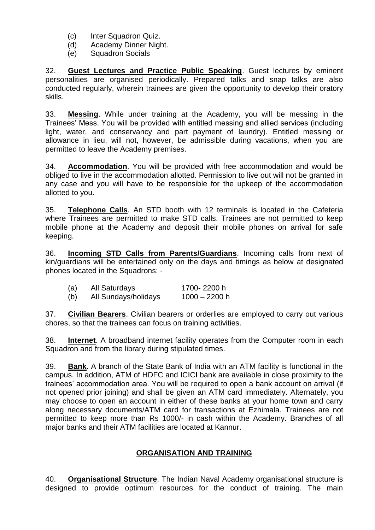- (c) Inter Squadron Quiz.
- (d) Academy Dinner Night.
- (e) Squadron Socials

32. **Guest Lectures and Practice Public Speaking**. Guest lectures by eminent personalities are organised periodically. Prepared talks and snap talks are also conducted regularly, wherein trainees are given the opportunity to develop their oratory skills.

33. **Messing**. While under training at the Academy, you will be messing in the Trainees' Mess. You will be provided with entitled messing and allied services (including light, water, and conservancy and part payment of laundry). Entitled messing or allowance in lieu, will not, however, be admissible during vacations, when you are permitted to leave the Academy premises.

34. **Accommodation**. You will be provided with free accommodation and would be obliged to live in the accommodation allotted. Permission to live out will not be granted in any case and you will have to be responsible for the upkeep of the accommodation allotted to you.

35. **Telephone Calls**. An STD booth with 12 terminals is located in the Cafeteria where Trainees are permitted to make STD calls. Trainees are not permitted to keep mobile phone at the Academy and deposit their mobile phones on arrival for safe keeping.

36. **Incoming STD Calls from Parents/Guardians**. Incoming calls from next of kin/guardians will be entertained only on the days and timings as below at designated phones located in the Squadrons: -

| (a) | All Saturdays        | 1700-2200 h     |
|-----|----------------------|-----------------|
| (b) | All Sundays/holidays | $1000 - 2200$ h |

37. **Civilian Bearers**. Civilian bearers or orderlies are employed to carry out various chores, so that the trainees can focus on training activities.

38. **Internet**. A broadband internet facility operates from the Computer room in each Squadron and from the library during stipulated times.

39. **Bank**. A branch of the State Bank of India with an ATM facility is functional in the campus. In addition, ATM of HDFC and ICICI bank are available in close proximity to the trainees' accommodation area. You will be required to open a bank account on arrival (if not opened prior joining) and shall be given an ATM card immediately. Alternately, you may choose to open an account in either of these banks at your home town and carry along necessary documents/ATM card for transactions at Ezhimala. Trainees are not permitted to keep more than Rs 1000/- in cash within the Academy. Branches of all major banks and their ATM facilities are located at Kannur.

# **ORGANISATION AND TRAINING**

40. **Organisational Structure**. The Indian Naval Academy organisational structure is designed to provide optimum resources for the conduct of training. The main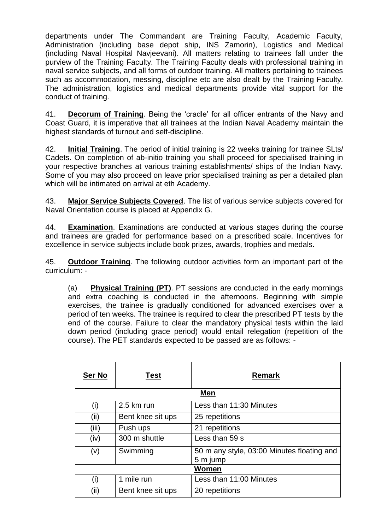departments under The Commandant are Training Faculty, Academic Faculty, Administration (including base depot ship, INS Zamorin), Logistics and Medical (including Naval Hospital Navjeevani). All matters relating to trainees fall under the purview of the Training Faculty. The Training Faculty deals with professional training in naval service subjects, and all forms of outdoor training. All matters pertaining to trainees such as accommodation, messing, discipline etc are also dealt by the Training Faculty. The administration, logistics and medical departments provide vital support for the conduct of training.

41. **Decorum of Training**. Being the 'cradle' for all officer entrants of the Navy and Coast Guard, it is imperative that all trainees at the Indian Naval Academy maintain the highest standards of turnout and self-discipline.

42. **Initial Training**. The period of initial training is 22 weeks training for trainee SLts/ Cadets. On completion of ab-initio training you shall proceed for specialised training in your respective branches at various training establishments/ ships of the Indian Navy. Some of you may also proceed on leave prior specialised training as per a detailed plan which will be intimated on arrival at eth Academy.

43. **Major Service Subjects Covered**. The list of various service subjects covered for Naval Orientation course is placed at Appendix G.

44. **Examination**. Examinations are conducted at various stages during the course and trainees are graded for performance based on a prescribed scale. Incentives for excellence in service subjects include book prizes, awards, trophies and medals.

45. **Outdoor Training**. The following outdoor activities form an important part of the curriculum: -

(a) **Physical Training (PT)**. PT sessions are conducted in the early mornings and extra coaching is conducted in the afternoons. Beginning with simple exercises, the trainee is gradually conditioned for advanced exercises over a period of ten weeks. The trainee is required to clear the prescribed PT tests by the end of the course. Failure to clear the mandatory physical tests within the laid down period (including grace period) would entail relegation (repetition of the course). The PET standards expected to be passed are as follows: -

| Ser No | <b>Test</b>       | <b>Remark</b>                                          |
|--------|-------------------|--------------------------------------------------------|
|        |                   | Men                                                    |
| (i)    | 2.5 km run        | Less than 11:30 Minutes                                |
| (ii)   | Bent knee sit ups | 25 repetitions                                         |
| (iii)  | Push ups          | 21 repetitions                                         |
| (iv)   | 300 m shuttle     | Less than 59 s                                         |
| (v)    | Swimming          | 50 m any style, 03:00 Minutes floating and<br>5 m jump |
| Women  |                   |                                                        |
| (i)    | 1 mile run        | Less than 11:00 Minutes                                |
| (ii)   | Bent knee sit ups | 20 repetitions                                         |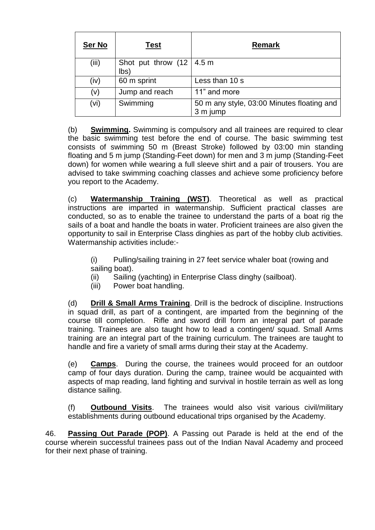| <b>Ser No</b> | <b>Test</b>                                      | Remark                                                 |
|---------------|--------------------------------------------------|--------------------------------------------------------|
| (iii)         | Shot put throw $(12 \mid 4.5 \text{ m})$<br>lbs) |                                                        |
| (iv)          | 60 m sprint                                      | Less than 10 s                                         |
| (v)           | Jump and reach                                   | 11" and more                                           |
| (vi)          | Swimming                                         | 50 m any style, 03:00 Minutes floating and<br>3 m jump |

(b) **Swimming.** Swimming is compulsory and all trainees are required to clear the basic swimming test before the end of course. The basic swimming test consists of swimming 50 m (Breast Stroke) followed by 03:00 min standing floating and 5 m jump (Standing-Feet down) for men and 3 m jump (Standing-Feet down) for women while wearing a full sleeve shirt and a pair of trousers. You are advised to take swimming coaching classes and achieve some proficiency before you report to the Academy.

(c) **Watermanship Training (WST)**. Theoretical as well as practical instructions are imparted in watermanship. Sufficient practical classes are conducted, so as to enable the trainee to understand the parts of a boat rig the sails of a boat and handle the boats in water. Proficient trainees are also given the opportunity to sail in Enterprise Class dinghies as part of the hobby club activities. Watermanship activities include:-

(i) Pulling/sailing training in 27 feet service whaler boat (rowing and sailing boat).

- (ii) Sailing (yachting) in Enterprise Class dinghy (sailboat).
- (iii) Power boat handling.

(d) **Drill & Small Arms Training**. Drill is the bedrock of discipline. Instructions in squad drill, as part of a contingent, are imparted from the beginning of the course till completion. Rifle and sword drill form an integral part of parade training. Trainees are also taught how to lead a contingent/ squad. Small Arms training are an integral part of the training curriculum. The trainees are taught to handle and fire a variety of small arms during their stay at the Academy.

(e) **Camps**. During the course, the trainees would proceed for an outdoor camp of four days duration. During the camp, trainee would be acquainted with aspects of map reading, land fighting and survival in hostile terrain as well as long distance sailing.

(f) **Outbound Visits**. The trainees would also visit various civil/military establishments during outbound educational trips organised by the Academy.

46. **Passing Out Parade (POP)**. A Passing out Parade is held at the end of the course wherein successful trainees pass out of the Indian Naval Academy and proceed for their next phase of training.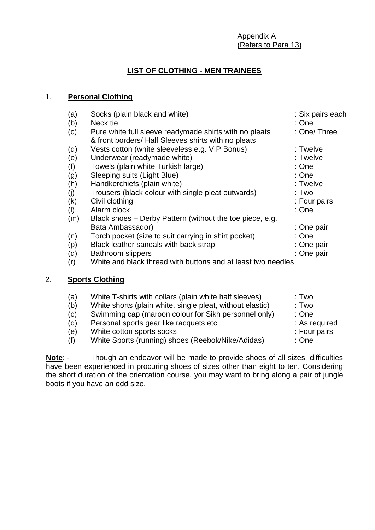Appendix A (Refers to Para 13)

# **LIST OF CLOTHING - MEN TRAINEES**

# 1. **Personal Clothing**

| (b)<br>Neck tie<br>: One<br>Pure white full sleeve readymade shirts with no pleats<br>(c)<br>& front borders/ Half Sleeves shirts with no pleats<br>Vests cotton (white sleeveless e.g. VIP Bonus)<br>: Twelve<br>(d)<br>Underwear (readymade white)<br>: Twelve<br>(e)<br>Towels (plain white Turkish large)<br>: One<br>(f)<br>: One<br>Sleeping suits (Light Blue)<br>(g)<br>Handkerchiefs (plain white)<br>: Twelve<br>(h)<br>Trousers (black colour with single pleat outwards)<br>: Two<br>(j)<br>Civil clothing<br>(k)<br>: Four pairs<br>Alarm clock<br>: One<br>(1)<br>Black shoes - Derby Pattern (without the toe piece, e.g.<br>(m)<br>Bata Ambassador)<br>: One pair<br>Torch pocket (size to suit carrying in shirt pocket)<br>: One<br>(n)<br>Black leather sandals with back strap<br>: One pair<br>(p)<br><b>Bathroom slippers</b><br>: One pair<br>(q)<br>White and black thread with buttons and at least two needles<br>(r)<br>2.<br><b>Sports Clothing</b><br>White T-shirts with collars (plain white half sleeves)<br>: Two<br>(a)<br>White shorts (plain white, single pleat, without elastic)<br>: Two<br>(b)<br>Swimming cap (maroon colour for Sikh personnel only)<br>: One<br>(c)<br>Personal sports gear like racquets etc<br>(d) | : Six pairs each |  |  |  |
|-----------------------------------------------------------------------------------------------------------------------------------------------------------------------------------------------------------------------------------------------------------------------------------------------------------------------------------------------------------------------------------------------------------------------------------------------------------------------------------------------------------------------------------------------------------------------------------------------------------------------------------------------------------------------------------------------------------------------------------------------------------------------------------------------------------------------------------------------------------------------------------------------------------------------------------------------------------------------------------------------------------------------------------------------------------------------------------------------------------------------------------------------------------------------------------------------------------------------------------------------------------------|------------------|--|--|--|
|                                                                                                                                                                                                                                                                                                                                                                                                                                                                                                                                                                                                                                                                                                                                                                                                                                                                                                                                                                                                                                                                                                                                                                                                                                                                 | : One/ Three     |  |  |  |
|                                                                                                                                                                                                                                                                                                                                                                                                                                                                                                                                                                                                                                                                                                                                                                                                                                                                                                                                                                                                                                                                                                                                                                                                                                                                 |                  |  |  |  |
|                                                                                                                                                                                                                                                                                                                                                                                                                                                                                                                                                                                                                                                                                                                                                                                                                                                                                                                                                                                                                                                                                                                                                                                                                                                                 |                  |  |  |  |
|                                                                                                                                                                                                                                                                                                                                                                                                                                                                                                                                                                                                                                                                                                                                                                                                                                                                                                                                                                                                                                                                                                                                                                                                                                                                 |                  |  |  |  |
|                                                                                                                                                                                                                                                                                                                                                                                                                                                                                                                                                                                                                                                                                                                                                                                                                                                                                                                                                                                                                                                                                                                                                                                                                                                                 |                  |  |  |  |
|                                                                                                                                                                                                                                                                                                                                                                                                                                                                                                                                                                                                                                                                                                                                                                                                                                                                                                                                                                                                                                                                                                                                                                                                                                                                 |                  |  |  |  |
|                                                                                                                                                                                                                                                                                                                                                                                                                                                                                                                                                                                                                                                                                                                                                                                                                                                                                                                                                                                                                                                                                                                                                                                                                                                                 |                  |  |  |  |
|                                                                                                                                                                                                                                                                                                                                                                                                                                                                                                                                                                                                                                                                                                                                                                                                                                                                                                                                                                                                                                                                                                                                                                                                                                                                 |                  |  |  |  |
|                                                                                                                                                                                                                                                                                                                                                                                                                                                                                                                                                                                                                                                                                                                                                                                                                                                                                                                                                                                                                                                                                                                                                                                                                                                                 |                  |  |  |  |
|                                                                                                                                                                                                                                                                                                                                                                                                                                                                                                                                                                                                                                                                                                                                                                                                                                                                                                                                                                                                                                                                                                                                                                                                                                                                 |                  |  |  |  |
|                                                                                                                                                                                                                                                                                                                                                                                                                                                                                                                                                                                                                                                                                                                                                                                                                                                                                                                                                                                                                                                                                                                                                                                                                                                                 |                  |  |  |  |
|                                                                                                                                                                                                                                                                                                                                                                                                                                                                                                                                                                                                                                                                                                                                                                                                                                                                                                                                                                                                                                                                                                                                                                                                                                                                 |                  |  |  |  |
|                                                                                                                                                                                                                                                                                                                                                                                                                                                                                                                                                                                                                                                                                                                                                                                                                                                                                                                                                                                                                                                                                                                                                                                                                                                                 |                  |  |  |  |
|                                                                                                                                                                                                                                                                                                                                                                                                                                                                                                                                                                                                                                                                                                                                                                                                                                                                                                                                                                                                                                                                                                                                                                                                                                                                 |                  |  |  |  |
|                                                                                                                                                                                                                                                                                                                                                                                                                                                                                                                                                                                                                                                                                                                                                                                                                                                                                                                                                                                                                                                                                                                                                                                                                                                                 |                  |  |  |  |
|                                                                                                                                                                                                                                                                                                                                                                                                                                                                                                                                                                                                                                                                                                                                                                                                                                                                                                                                                                                                                                                                                                                                                                                                                                                                 |                  |  |  |  |
|                                                                                                                                                                                                                                                                                                                                                                                                                                                                                                                                                                                                                                                                                                                                                                                                                                                                                                                                                                                                                                                                                                                                                                                                                                                                 |                  |  |  |  |
|                                                                                                                                                                                                                                                                                                                                                                                                                                                                                                                                                                                                                                                                                                                                                                                                                                                                                                                                                                                                                                                                                                                                                                                                                                                                 |                  |  |  |  |
|                                                                                                                                                                                                                                                                                                                                                                                                                                                                                                                                                                                                                                                                                                                                                                                                                                                                                                                                                                                                                                                                                                                                                                                                                                                                 |                  |  |  |  |
|                                                                                                                                                                                                                                                                                                                                                                                                                                                                                                                                                                                                                                                                                                                                                                                                                                                                                                                                                                                                                                                                                                                                                                                                                                                                 | : As required    |  |  |  |
| White cotton sports socks<br>: Four pairs<br>(e)                                                                                                                                                                                                                                                                                                                                                                                                                                                                                                                                                                                                                                                                                                                                                                                                                                                                                                                                                                                                                                                                                                                                                                                                                |                  |  |  |  |

(f) White Sports (running) shoes (Reebok/Nike/Adidas) : One

**Note**: - Though an endeavor will be made to provide shoes of all sizes, difficulties have been experienced in procuring shoes of sizes other than eight to ten. Considering the short duration of the orientation course, you may want to bring along a pair of jungle boots if you have an odd size.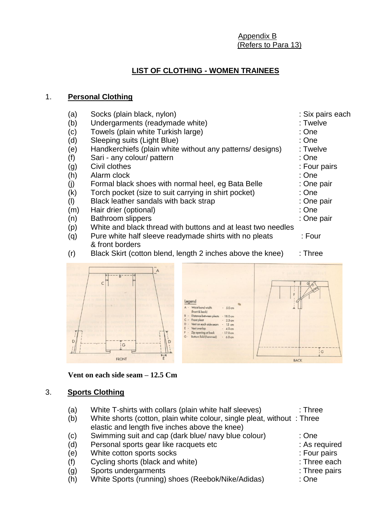Appendix B (Refers to Para 13)

# **LIST OF CLOTHING - WOMEN TRAINEES**

#### 1. **Personal Clothing**

| (a)       | Socks (plain black, nylon)                                   | : Six pairs each |
|-----------|--------------------------------------------------------------|------------------|
| (b)       | Undergarments (readymade white)                              | : Twelve         |
| (c)       | Towels (plain white Turkish large)                           | : One            |
| (d)       | Sleeping suits (Light Blue)                                  | : One            |
| (e)       | Handkerchiefs (plain white without any patterns/ designs)    | : Twelve         |
| (f)       | Sari - any colour/ pattern                                   | : One            |
| (g)       | Civil clothes                                                | : Four pairs     |
| (h)       | Alarm clock                                                  | : One            |
| (j)       | Formal black shoes with normal heel, eg Bata Belle           | : One pair       |
| (k)       | Torch pocket (size to suit carrying in shirt pocket)         | : One            |
| $($ l $)$ | Black leather sandals with back strap                        | : One pair       |
| (m)       | Hair drier (optional)                                        | : One            |
| (n)       | <b>Bathroom slippers</b>                                     | : One pair       |
| (p)       | White and black thread with buttons and at least two needles |                  |
| (q)       | Pure white half sleeve readymade shirts with no pleats       | : Four           |
|           | & front borders                                              |                  |
| (r)       | Black Skirt (cotton blend, length 2 inches above the knee)   | $:$ Three        |
|           | $\overline{A}$                                               |                  |



**Vent on each side seam – 12.5 Cm**

#### 3. **Sports Clothing**

- (a) White T-shirts with collars (plain white half sleeves) : Three
- (b) White shorts (cotton, plain white colour, single pleat, without : Three elastic and length five inches above the knee)
- (c) Swimming suit and cap (dark blue/ navy blue colour) : One<br>(d) Personal sports gear like racquets etc (d) Example: As required
- (d) Personal sports gear like racquets etc
- (e) White cotton sports socks : Four pairs
- (f) Cycling shorts (black and white) : Three each
- (g) Sports undergarments : Three pairs : Three pairs
- (h) White Sports (running) shoes (Reebok/Nike/Adidas) : One
-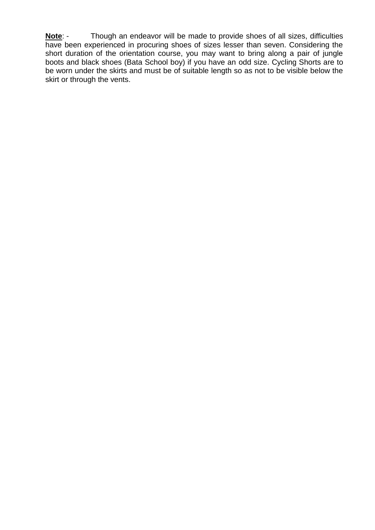**Note**: - Though an endeavor will be made to provide shoes of all sizes, difficulties have been experienced in procuring shoes of sizes lesser than seven. Considering the short duration of the orientation course, you may want to bring along a pair of jungle boots and black shoes (Bata School boy) if you have an odd size. Cycling Shorts are to be worn under the skirts and must be of suitable length so as not to be visible below the skirt or through the vents.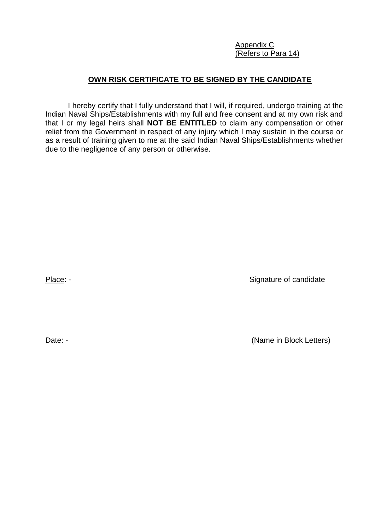Appendix C (Refers to Para 14)

# **OWN RISK CERTIFICATE TO BE SIGNED BY THE CANDIDATE**

I hereby certify that I fully understand that I will, if required, undergo training at the Indian Naval Ships/Establishments with my full and free consent and at my own risk and that I or my legal heirs shall **NOT BE ENTITLED** to claim any compensation or other relief from the Government in respect of any injury which I may sustain in the course or as a result of training given to me at the said Indian Naval Ships/Establishments whether due to the negligence of any person or otherwise.

Place: - Signature of candidate

Date: - (Name in Block Letters)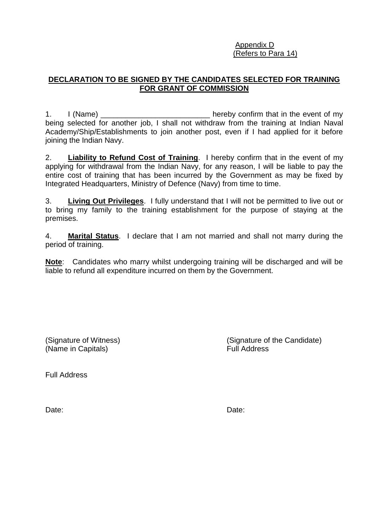#### Appendix D (Refers to Para 14)

# **DECLARATION TO BE SIGNED BY THE CANDIDATES SELECTED FOR TRAINING FOR GRANT OF COMMISSION**

1. I (Name) and in the event of my intervel hereby confirm that in the event of my being selected for another job, I shall not withdraw from the training at Indian Naval Academy/Ship/Establishments to join another post, even if I had applied for it before joining the Indian Navy.

2. **Liability to Refund Cost of Training**. I hereby confirm that in the event of my applying for withdrawal from the Indian Navy, for any reason, I will be liable to pay the entire cost of training that has been incurred by the Government as may be fixed by Integrated Headquarters, Ministry of Defence (Navy) from time to time.

3. **Living Out Privileges**. I fully understand that I will not be permitted to live out or to bring my family to the training establishment for the purpose of staying at the premises.

4. **Marital Status**. I declare that I am not married and shall not marry during the period of training.

**Note**:Candidates who marry whilst undergoing training will be discharged and will be liable to refund all expenditure incurred on them by the Government.

(Name in Capitals) Full Address

(Signature of Witness) (Signature of the Candidate)

Full Address

Date: **Date:** Date: **Date: Date: Date: Date: Date: Date: Date: Date: Date: Date: Date: Date: Date: Date: Date: Date: Date: Date: Date: Date: Date: Date: Date: Date: Date: D**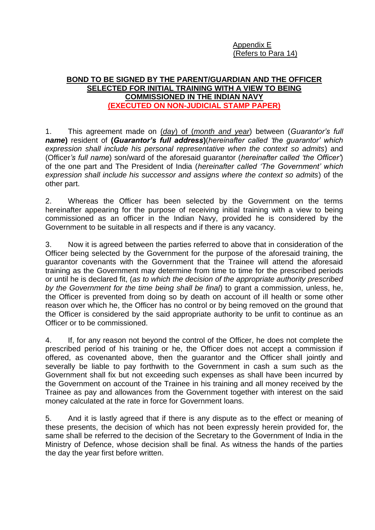Appendix E (Refers to Para 14)

#### **BOND TO BE SIGNED BY THE PARENT/GUARDIAN AND THE OFFICER SELECTED FOR INITIAL TRAINING WITH A VIEW TO BEING COMMISSIONED IN THE INDIAN NAVY (EXECUTED ON NON-JUDICIAL STAMP PAPER)**

1. This agreement made on (*day*) of (*month and year*) between (*Guarantor's full name***)** resident of **(***Guarantor's full address***)**(*hereinafter called 'the guarantor' which expression shall include his personal representative when the context so admits*) and (Officer*'s full name*) son/ward of the aforesaid guarantor (*hereinafter called 'the Officer'*) of the one part and The President of India (*hereinafter called 'The Government' which expression shall include his successor and assigns where the context so admits*) of the other part.

2. Whereas the Officer has been selected by the Government on the terms hereinafter appearing for the purpose of receiving initial training with a view to being commissioned as an officer in the Indian Navy, provided he is considered by the Government to be suitable in all respects and if there is any vacancy.

3. Now it is agreed between the parties referred to above that in consideration of the Officer being selected by the Government for the purpose of the aforesaid training, the guarantor covenants with the Government that the Trainee will attend the aforesaid training as the Government may determine from time to time for the prescribed periods or until he is declared fit, (*as to which the decision of the appropriate authority prescribed by the Government for the time being shall be final*) to grant a commission, unless, he, the Officer is prevented from doing so by death on account of ill health or some other reason over which he, the Officer has no control or by being removed on the ground that the Officer is considered by the said appropriate authority to be unfit to continue as an Officer or to be commissioned.

4. If, for any reason not beyond the control of the Officer, he does not complete the prescribed period of his training or he, the Officer does not accept a commission if offered, as covenanted above, then the guarantor and the Officer shall jointly and severally be liable to pay forthwith to the Government in cash a sum such as the Government shall fix but not exceeding such expenses as shall have been incurred by the Government on account of the Trainee in his training and all money received by the Trainee as pay and allowances from the Government together with interest on the said money calculated at the rate in force for Government loans.

5. And it is lastly agreed that if there is any dispute as to the effect or meaning of these presents, the decision of which has not been expressly herein provided for, the same shall be referred to the decision of the Secretary to the Government of India in the Ministry of Defence, whose decision shall be final. As witness the hands of the parties the day the year first before written.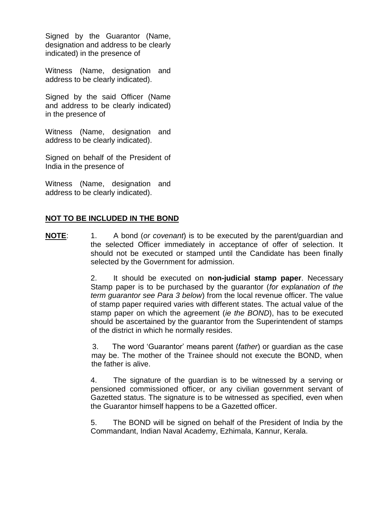Signed by the Guarantor (Name, designation and address to be clearly indicated) in the presence of

Witness (Name, designation and address to be clearly indicated).

Signed by the said Officer (Name and address to be clearly indicated) in the presence of

Witness (Name, designation and address to be clearly indicated).

Signed on behalf of the President of India in the presence of

Witness (Name, designation and address to be clearly indicated).

#### **NOT TO BE INCLUDED IN THE BOND**

**NOTE**: 1. A bond (*or covenant*) is to be executed by the parent/guardian and the selected Officer immediately in acceptance of offer of selection. It should not be executed or stamped until the Candidate has been finally selected by the Government for admission.

> 2. It should be executed on **non-judicial stamp paper**. Necessary Stamp paper is to be purchased by the guarantor (*for explanation of the term guarantor see Para 3 below*) from the local revenue officer. The value of stamp paper required varies with different states. The actual value of the stamp paper on which the agreement (*ie the BOND*), has to be executed should be ascertained by the guarantor from the Superintendent of stamps of the district in which he normally resides.

> 3. The word 'Guarantor' means parent (*father*) or guardian as the case may be. The mother of the Trainee should not execute the BOND, when the father is alive.

> 4. The signature of the guardian is to be witnessed by a serving or pensioned commissioned officer, or any civilian government servant of Gazetted status. The signature is to be witnessed as specified, even when the Guarantor himself happens to be a Gazetted officer.

> 5. The BOND will be signed on behalf of the President of India by the Commandant, Indian Naval Academy, Ezhimala, Kannur, Kerala.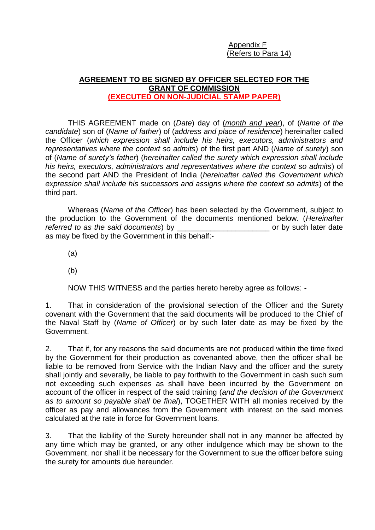Appendix F (Refers to Para 14)

# **AGREEMENT TO BE SIGNED BY OFFICER SELECTED FOR THE GRANT OF COMMISSION (EXECUTED ON NON-JUDICIAL STAMP PAPER)**

THIS AGREEMENT made on (*Date*) day of (*month and year*), of (*Name of the candidate*) son of (*Name of father*) of (*address and place of residence*) hereinafter called the Officer (*which expression shall include his heirs, executors, administrators and representatives where the context so admits*) of the first part AND (*Name of surety*) son of (*Name of surety's father*) (*hereinafter called the surety which expression shall include his heirs, executors, administrators and representatives where the context so admits*) of the second part AND the President of India (*hereinafter called the Government which expression shall include his successors and assigns where the context so admits*) of the third part.

Whereas (*Name of the Officer*) has been selected by the Government, subject to the production to the Government of the documents mentioned below. (*Hereinafter referred to as the said documents*) by **the said in the said of the said of the said such later date** at the said such later date as may be fixed by the Government in this behalf:-

(a)

(b)

NOW THIS WITNESS and the parties hereto hereby agree as follows: -

1. That in consideration of the provisional selection of the Officer and the Surety covenant with the Government that the said documents will be produced to the Chief of the Naval Staff by (*Name of Officer*) or by such later date as may be fixed by the Government.

2. That if, for any reasons the said documents are not produced within the time fixed by the Government for their production as covenanted above, then the officer shall be liable to be removed from Service with the Indian Navy and the officer and the surety shall jointly and severally, be liable to pay forthwith to the Government in cash such sum not exceeding such expenses as shall have been incurred by the Government on account of the officer in respect of the said training (*and the decision of the Government as to amount so payable shall be final*), TOGETHER WITH all monies received by the officer as pay and allowances from the Government with interest on the said monies calculated at the rate in force for Government loans.

3. That the liability of the Surety hereunder shall not in any manner be affected by any time which may be granted, or any other indulgence which may be shown to the Government, nor shall it be necessary for the Government to sue the officer before suing the surety for amounts due hereunder.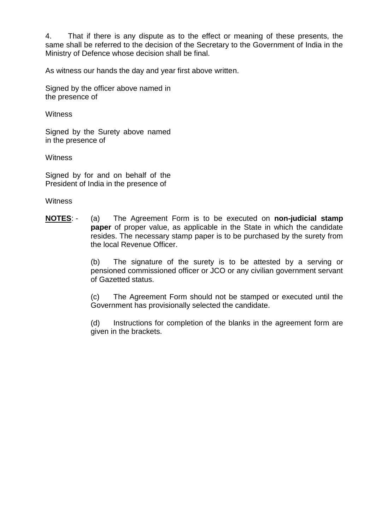4. That if there is any dispute as to the effect or meaning of these presents, the same shall be referred to the decision of the Secretary to the Government of India in the Ministry of Defence whose decision shall be final.

As witness our hands the day and year first above written.

Signed by the officer above named in the presence of

**Witness** 

Signed by the Surety above named in the presence of

**Witness** 

Signed by for and on behalf of the President of India in the presence of

**Witness** 

**NOTES**: - (a) The Agreement Form is to be executed on **non-judicial stamp paper** of proper value, as applicable in the State in which the candidate resides. The necessary stamp paper is to be purchased by the surety from the local Revenue Officer.

> (b) The signature of the surety is to be attested by a serving or pensioned commissioned officer or JCO or any civilian government servant of Gazetted status.

> (c) The Agreement Form should not be stamped or executed until the Government has provisionally selected the candidate.

> (d) Instructions for completion of the blanks in the agreement form are given in the brackets.